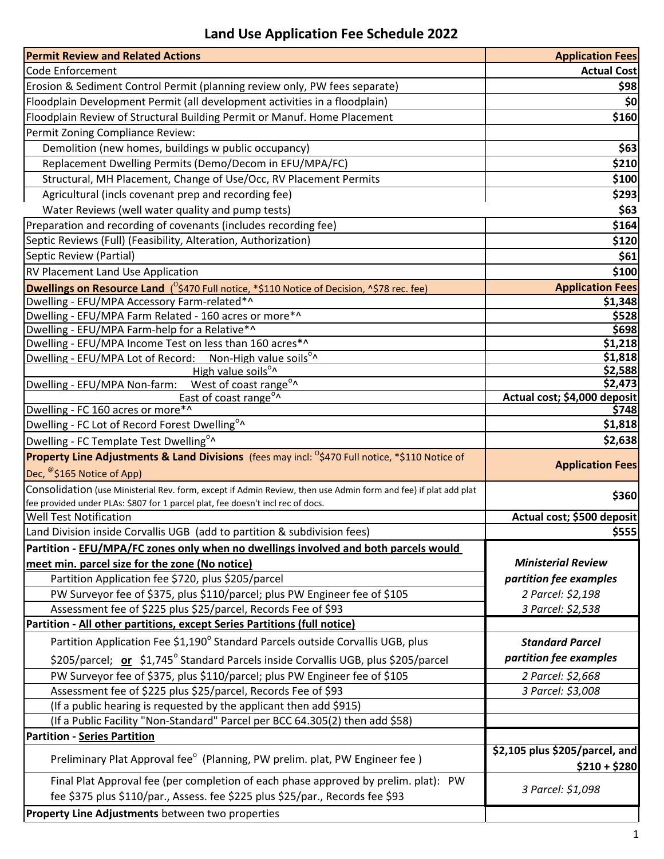## **Land Use Application Fee Schedule 2022**

| <b>Permit Review and Related Actions</b>                                                                               | <b>Application Fees</b>                         |
|------------------------------------------------------------------------------------------------------------------------|-------------------------------------------------|
| Code Enforcement                                                                                                       | <b>Actual Cost</b>                              |
| Erosion & Sediment Control Permit (planning review only, PW fees separate)                                             | \$98                                            |
| Floodplain Development Permit (all development activities in a floodplain)                                             | \$0                                             |
| Floodplain Review of Structural Building Permit or Manuf. Home Placement                                               | \$160                                           |
| Permit Zoning Compliance Review:                                                                                       |                                                 |
| Demolition (new homes, buildings w public occupancy)                                                                   | \$63                                            |
| Replacement Dwelling Permits (Demo/Decom in EFU/MPA/FC)                                                                | \$210                                           |
| Structural, MH Placement, Change of Use/Occ, RV Placement Permits                                                      | \$100                                           |
| Agricultural (incls covenant prep and recording fee)                                                                   | \$293                                           |
| Water Reviews (well water quality and pump tests)                                                                      | \$63                                            |
| Preparation and recording of covenants (includes recording fee)                                                        | \$164                                           |
| Septic Reviews (Full) (Feasibility, Alteration, Authorization)                                                         | \$120                                           |
| Septic Review (Partial)                                                                                                | \$61                                            |
| <b>RV Placement Land Use Application</b>                                                                               | \$100                                           |
| Dwellings on Resource Land ( <sup>O</sup> \$470 Full notice, *\$110 Notice of Decision, ^\$78 rec. fee)                | <b>Application Fees</b>                         |
| Dwelling - EFU/MPA Accessory Farm-related*^                                                                            | \$1,348                                         |
| Dwelling - EFU/MPA Farm Related - 160 acres or more*^                                                                  | \$528                                           |
| Dwelling - EFU/MPA Farm-help for a Relative*^                                                                          | \$698                                           |
| Dwelling - EFU/MPA Income Test on less than 160 acres*^                                                                | \$1,218                                         |
| Dwelling - EFU/MPA Lot of Record: Non-High value soils <sup>o</sup><br>High value soils <sup>o</sup>                   | \$1,818<br>\$2,588                              |
| Dwelling - EFU/MPA Non-farm: West of coast range <sup>o</sup>                                                          | \$2,473                                         |
| East of coast range <sup>o</sup>                                                                                       | Actual cost; \$4,000 deposit                    |
| Dwelling - FC 160 acres or more*^                                                                                      | \$748                                           |
| Dwelling - FC Lot of Record Forest Dwelling <sup>o</sup> ^                                                             | \$1,818                                         |
| Dwelling - FC Template Test Dwelling <sup>o</sup> ^                                                                    | \$2,638                                         |
| <b>Property Line Adjustments &amp; Land Divisions</b> (fees may incl: <sup>0</sup> \$470 Full notice, *\$110 Notice of |                                                 |
| Dec, <sup>@</sup> \$165 Notice of App)                                                                                 | <b>Application Fees</b>                         |
| Consolidation (use Ministerial Rev. form, except if Admin Review, then use Admin form and fee) if plat add plat        | \$360                                           |
| fee provided under PLAs: \$807 for 1 parcel plat, fee doesn't incl rec of docs.                                        |                                                 |
| <b>Well Test Notification</b>                                                                                          | Actual cost; \$500 deposit                      |
| Land Division inside Corvallis UGB (add to partition & subdivision fees)                                               | \$555                                           |
| Partition - EFU/MPA/FC zones only when no dwellings involved and both parcels would                                    |                                                 |
| meet min. parcel size for the zone (No notice)                                                                         | <b>Ministerial Review</b>                       |
| Partition Application fee \$720, plus \$205/parcel                                                                     | partition fee examples                          |
| PW Surveyor fee of \$375, plus \$110/parcel; plus PW Engineer fee of \$105                                             | 2 Parcel: \$2,198                               |
| Assessment fee of \$225 plus \$25/parcel, Records Fee of \$93                                                          | 3 Parcel: \$2,538                               |
| Partition - All other partitions, except Series Partitions (full notice)                                               |                                                 |
| Partition Application Fee \$1,190° Standard Parcels outside Corvallis UGB, plus                                        | <b>Standard Parcel</b>                          |
| \$205/parcel; or \$1,745° Standard Parcels inside Corvallis UGB, plus \$205/parcel                                     | partition fee examples                          |
| PW Surveyor fee of \$375, plus \$110/parcel; plus PW Engineer fee of \$105                                             | 2 Parcel: \$2,668                               |
| Assessment fee of \$225 plus \$25/parcel, Records Fee of \$93                                                          | 3 Parcel: \$3,008                               |
| (If a public hearing is requested by the applicant then add \$915)                                                     |                                                 |
| (If a Public Facility "Non-Standard" Parcel per BCC 64.305(2) then add \$58)                                           |                                                 |
| <b>Partition - Series Partition</b>                                                                                    |                                                 |
| Preliminary Plat Approval fee° (Planning, PW prelim. plat, PW Engineer fee)                                            | \$2,105 plus \$205/parcel, and<br>$$210 + $280$ |
| Final Plat Approval fee (per completion of each phase approved by prelim. plat): PW                                    |                                                 |
| fee \$375 plus \$110/par., Assess. fee \$225 plus \$25/par., Records fee \$93                                          | 3 Parcel: \$1,098                               |
| Property Line Adjustments between two properties                                                                       |                                                 |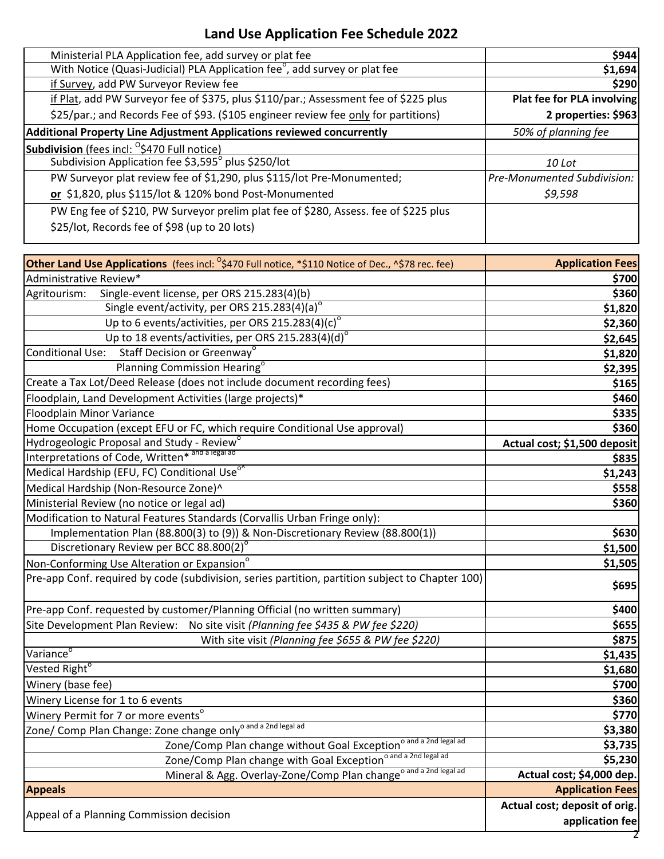## **Land Use Application Fee Schedule 2022**

| Ministerial PLA Application fee, add survey or plat fee                                                                               | \$944                              |
|---------------------------------------------------------------------------------------------------------------------------------------|------------------------------------|
| With Notice (Quasi-Judicial) PLA Application fee <sup>o</sup> , add survey or plat fee                                                | \$1,694                            |
| if Survey, add PW Surveyor Review fee                                                                                                 | \$290                              |
| if Plat, add PW Surveyor fee of \$375, plus \$110/par.; Assessment fee of \$225 plus                                                  | Plat fee for PLA involving         |
| \$25/par.; and Records Fee of \$93. (\$105 engineer review fee only for partitions)                                                   | 2 properties: \$963                |
| Additional Property Line Adjustment Applications reviewed concurrently                                                                | 50% of planning fee                |
| <b>Subdivision</b> (fees incl: <sup>0</sup> \$470 Full notice)                                                                        |                                    |
| Subdivision Application fee \$3,595° plus \$250/lot                                                                                   | 10 Lot                             |
| PW Surveyor plat review fee of \$1,290, plus \$115/lot Pre-Monumented;                                                                | <b>Pre-Monumented Subdivision:</b> |
| or \$1,820, plus \$115/lot & 120% bond Post-Monumented                                                                                | \$9,598                            |
| PW Eng fee of \$210, PW Surveyor prelim plat fee of \$280, Assess. fee of \$225 plus<br>\$25/lot, Records fee of \$98 (up to 20 lots) |                                    |
|                                                                                                                                       |                                    |

| <b>Other Land Use Applications</b> (fees incl: <sup>0</sup> \$470 Full notice, *\$110 Notice of Dec., ^\$78 rec. fee) | <b>Application Fees</b>       |
|-----------------------------------------------------------------------------------------------------------------------|-------------------------------|
| Administrative Review*                                                                                                | \$700                         |
| Single-event license, per ORS 215.283(4)(b)<br>Agritourism:                                                           | \$360                         |
| Single event/activity, per ORS 215.283(4)(a)°                                                                         | \$1,820                       |
| Up to 6 events/activities, per ORS 215.283(4)(c)°                                                                     | \$2,360                       |
| Up to 18 events/activities, per ORS 215.283(4)(d)°                                                                    | \$2,645                       |
| Conditional Use: Staff Decision or Greenway <sup>o</sup>                                                              | \$1,820                       |
| Planning Commission Hearing <sup>o</sup>                                                                              | \$2,395                       |
| Create a Tax Lot/Deed Release (does not include document recording fees)                                              | \$165                         |
| Floodplain, Land Development Activities (large projects)*                                                             | \$460                         |
| <b>Floodplain Minor Variance</b>                                                                                      | \$335                         |
| Home Occupation (except EFU or FC, which require Conditional Use approval)                                            | \$360                         |
| Hydrogeologic Proposal and Study - Review <sup>o</sup>                                                                | Actual cost; \$1,500 deposit  |
| Interpretations of Code, Written* and a legal ad                                                                      | \$835                         |
| Medical Hardship (EFU, FC) Conditional Use <sup>o</sup>                                                               | \$1,243                       |
| Medical Hardship (Non-Resource Zone)^                                                                                 | \$558                         |
| Ministerial Review (no notice or legal ad)                                                                            | \$360                         |
| Modification to Natural Features Standards (Corvallis Urban Fringe only):                                             |                               |
| Implementation Plan (88.800(3) to (9)) & Non-Discretionary Review (88.800(1))                                         | \$630                         |
| Discretionary Review per BCC 88.800(2)°                                                                               | \$1,500                       |
| Non-Conforming Use Alteration or Expansion <sup>o</sup>                                                               | \$1,505                       |
| Pre-app Conf. required by code (subdivision, series partition, partition subject to Chapter 100)                      | \$695                         |
| Pre-app Conf. requested by customer/Planning Official (no written summary)                                            | \$400                         |
| Site Development Plan Review: No site visit (Planning fee \$435 & PW fee \$220)                                       | \$655                         |
| With site visit (Planning fee \$655 & PW fee \$220)                                                                   | \$875                         |
| Variance <sup>o</sup>                                                                                                 | \$1,435                       |
| Vested Right <sup>o</sup>                                                                                             | \$1,680                       |
| Winery (base fee)                                                                                                     | \$700                         |
| Winery License for 1 to 6 events                                                                                      | \$360                         |
| Winery Permit for 7 or more events <sup>o</sup>                                                                       | \$770                         |
| Zone/ Comp Plan Change: Zone change only <sup>o and a 2nd legal ad</sup>                                              | \$3,380                       |
| o and a 2nd legal ad<br>Zone/Comp Plan change without Goal Exception                                                  | \$3,735                       |
| Zone/Comp Plan change with Goal Exception <sup>o and a 2nd legal ad</sup>                                             | \$5,230                       |
| Mineral & Agg. Overlay-Zone/Comp Plan change <sup>o and a 2nd legal ad</sup>                                          | Actual cost; \$4,000 dep.     |
| <b>Appeals</b>                                                                                                        | <b>Application Fees</b>       |
|                                                                                                                       | Actual cost; deposit of orig. |
| Appeal of a Planning Commission decision                                                                              | application fee               |